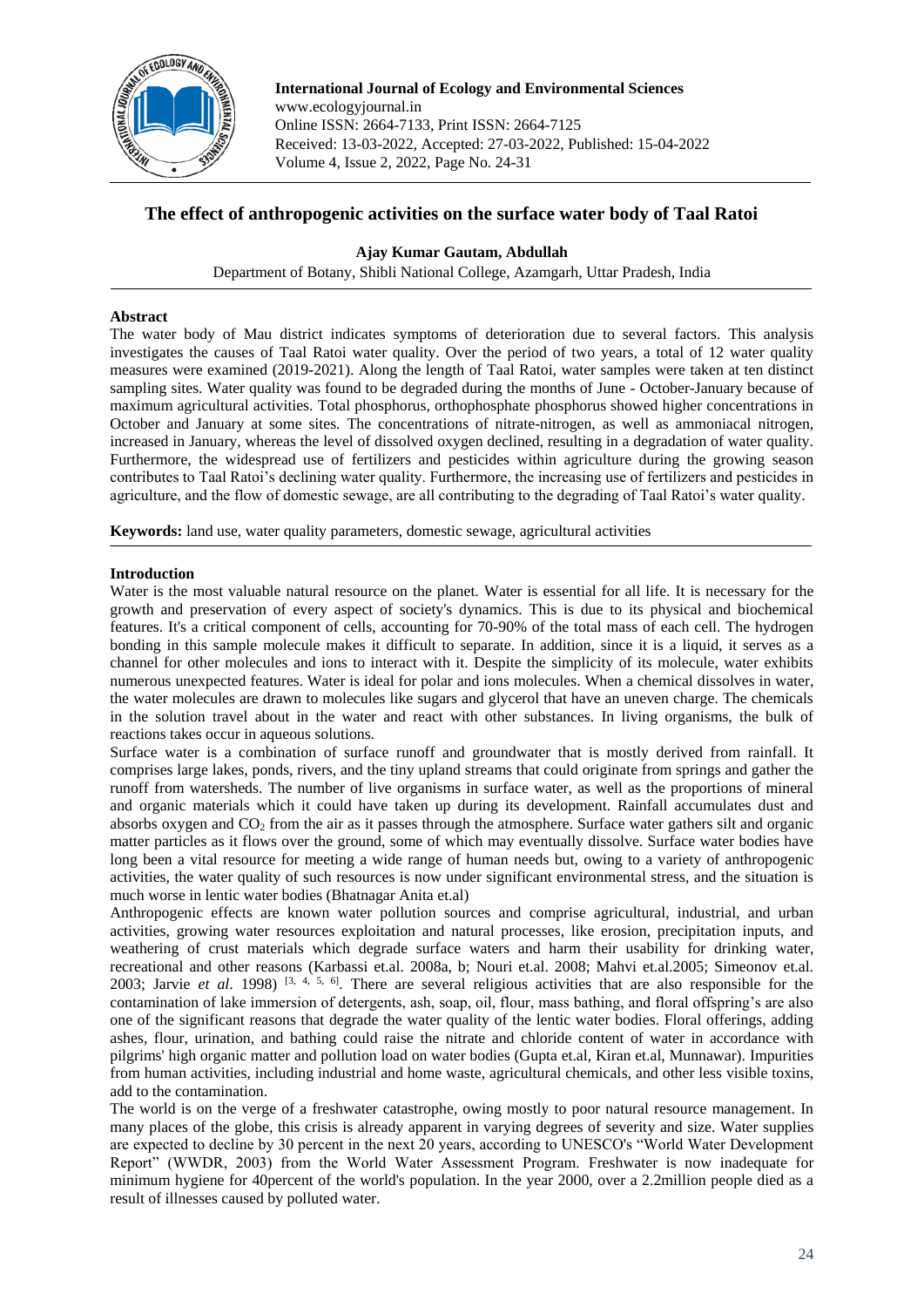

**International Journal of Ecology and Environmental Sciences** www.ecologyjournal.in Online ISSN: 2664-7133, Print ISSN: 2664-7125 Received: 13-03-2022, Accepted: 27-03-2022, Published: 15-04-2022 Volume 4, Issue 2, 2022, Page No. 24-31

# **The effect of anthropogenic activities on the surface water body of Taal Ratoi**

**Ajay Kumar Gautam, Abdullah**

Department of Botany, Shibli National College, Azamgarh, Uttar Pradesh, India

# **Abstract**

The water body of Mau district indicates symptoms of deterioration due to several factors. This analysis investigates the causes of Taal Ratoi water quality. Over the period of two years, a total of 12 water quality measures were examined (2019-2021). Along the length of Taal Ratoi, water samples were taken at ten distinct sampling sites. Water quality was found to be degraded during the months of June - October-January because of maximum agricultural activities. Total phosphorus, orthophosphate phosphorus showed higher concentrations in October and January at some sites. The concentrations of nitrate-nitrogen, as well as ammoniacal nitrogen, increased in January, whereas the level of dissolved oxygen declined, resulting in a degradation of water quality. Furthermore, the widespread use of fertilizers and pesticides within agriculture during the growing season contributes to Taal Ratoi's declining water quality. Furthermore, the increasing use of fertilizers and pesticides in agriculture, and the flow of domestic sewage, are all contributing to the degrading of Taal Ratoi's water quality.

**Keywords:** land use, water quality parameters, domestic sewage, agricultural activities

# **Introduction**

Water is the most valuable natural resource on the planet. Water is essential for all life. It is necessary for the growth and preservation of every aspect of society's dynamics. This is due to its physical and biochemical features. It's a critical component of cells, accounting for 70-90% of the total mass of each cell. The hydrogen bonding in this sample molecule makes it difficult to separate. In addition, since it is a liquid, it serves as a channel for other molecules and ions to interact with it. Despite the simplicity of its molecule, water exhibits numerous unexpected features. Water is ideal for polar and ions molecules. When a chemical dissolves in water, the water molecules are drawn to molecules like sugars and glycerol that have an uneven charge. The chemicals in the solution travel about in the water and react with other substances. In living organisms, the bulk of reactions takes occur in aqueous solutions.

Surface water is a combination of surface runoff and groundwater that is mostly derived from rainfall. It comprises large lakes, ponds, rivers, and the tiny upland streams that could originate from springs and gather the runoff from watersheds. The number of live organisms in surface water, as well as the proportions of mineral and organic materials which it could have taken up during its development. Rainfall accumulates dust and absorbs oxygen and  $CO<sub>2</sub>$  from the air as it passes through the atmosphere. Surface water gathers silt and organic matter particles as it flows over the ground, some of which may eventually dissolve. Surface water bodies have long been a vital resource for meeting a wide range of human needs but, owing to a variety of anthropogenic activities, the water quality of such resources is now under significant environmental stress, and the situation is much worse in lentic water bodies (Bhatnagar Anita et.al)

Anthropogenic effects are known water pollution sources and comprise agricultural, industrial, and urban activities, growing water resources exploitation and natural processes, like erosion, precipitation inputs, and weathering of crust materials which degrade surface waters and harm their usability for drinking water, recreational and other reasons (Karbassi et.al. 2008a, b; Nouri et.al. 2008; Mahvi et.al.2005; Simeonov et.al. 2003; Jarvie *et al*. 1998) [3, 4, 5, 6]. There are several religious activities that are also responsible for the contamination of lake immersion of detergents, ash, soap, oil, flour, mass bathing, and floral offspring's are also one of the significant reasons that degrade the water quality of the lentic water bodies. Floral offerings, adding ashes, flour, urination, and bathing could raise the nitrate and chloride content of water in accordance with pilgrims' high organic matter and pollution load on water bodies (Gupta et.al, Kiran et.al, Munnawar). Impurities from human activities, including industrial and home waste, agricultural chemicals, and other less visible toxins, add to the contamination.

The world is on the verge of a freshwater catastrophe, owing mostly to poor natural resource management. In many places of the globe, this crisis is already apparent in varying degrees of severity and size. Water supplies are expected to decline by 30 percent in the next 20 years, according to UNESCO's "World Water Development Report" (WWDR, 2003) from the World Water Assessment Program. Freshwater is now inadequate for minimum hygiene for 40percent of the world's population. In the year 2000, over a 2.2million people died as a result of illnesses caused by polluted water.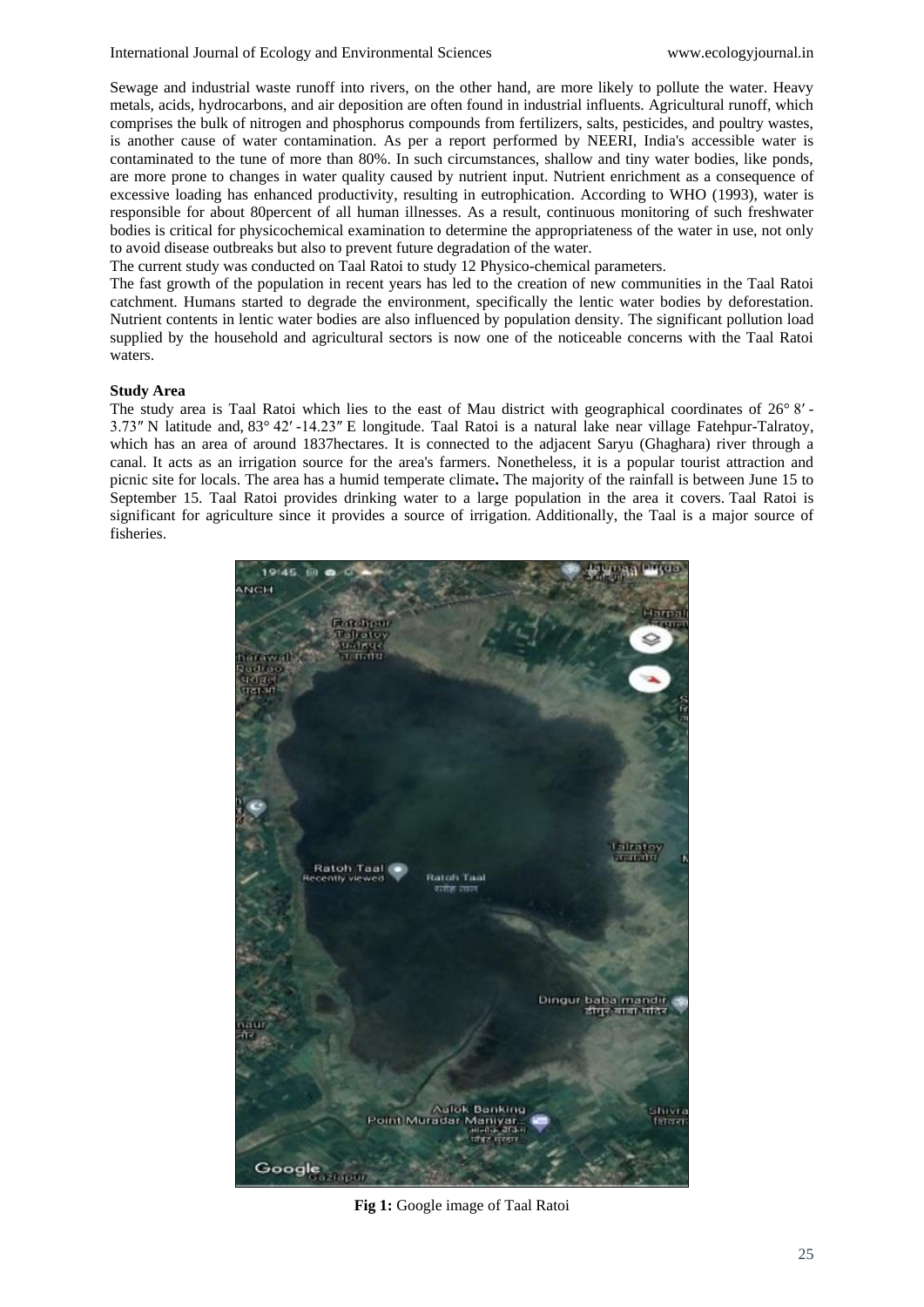Sewage and industrial waste runoff into rivers, on the other hand, are more likely to pollute the water. Heavy metals, acids, hydrocarbons, and air deposition are often found in industrial influents. Agricultural runoff, which comprises the bulk of nitrogen and phosphorus compounds from fertilizers, salts, pesticides, and poultry wastes, is another cause of water contamination. As per a report performed by NEERI, India's accessible water is contaminated to the tune of more than 80%. In such circumstances, shallow and tiny water bodies, like ponds, are more prone to changes in water quality caused by nutrient input. Nutrient enrichment as a consequence of excessive loading has enhanced productivity, resulting in eutrophication. According to WHO (1993), water is responsible for about 80percent of all human illnesses. As a result, continuous monitoring of such freshwater bodies is critical for physicochemical examination to determine the appropriateness of the water in use, not only to avoid disease outbreaks but also to prevent future degradation of the water.

The current study was conducted on Taal Ratoi to study 12 Physico-chemical parameters.

The fast growth of the population in recent years has led to the creation of new communities in the Taal Ratoi catchment. Humans started to degrade the environment, specifically the lentic water bodies by deforestation. Nutrient contents in lentic water bodies are also influenced by population density. The significant pollution load supplied by the household and agricultural sectors is now one of the noticeable concerns with the Taal Ratoi waters.

# **Study Area**

The study area is Taal Ratoi which lies to the east of Mau district with geographical coordinates of 26° 8′ -3.73″ N latitude and, 83° 42′ -14.23″ E longitude. Taal Ratoi is a natural lake near village Fatehpur-Talratoy, which has an area of around 1837hectares. It is connected to the adjacent Saryu (Ghaghara) river through a canal. It acts as an irrigation source for the area's farmers. Nonetheless, it is a popular tourist attraction and picnic site for locals. The area has a humid temperate climate**.** The majority of the rainfall is between June 15 to September 15. Taal Ratoi provides drinking water to a large population in the area it covers. Taal Ratoi is significant for agriculture since it provides a source of irrigation. Additionally, the Taal is a major source of fisheries.



**Fig 1:** Google image of Taal Ratoi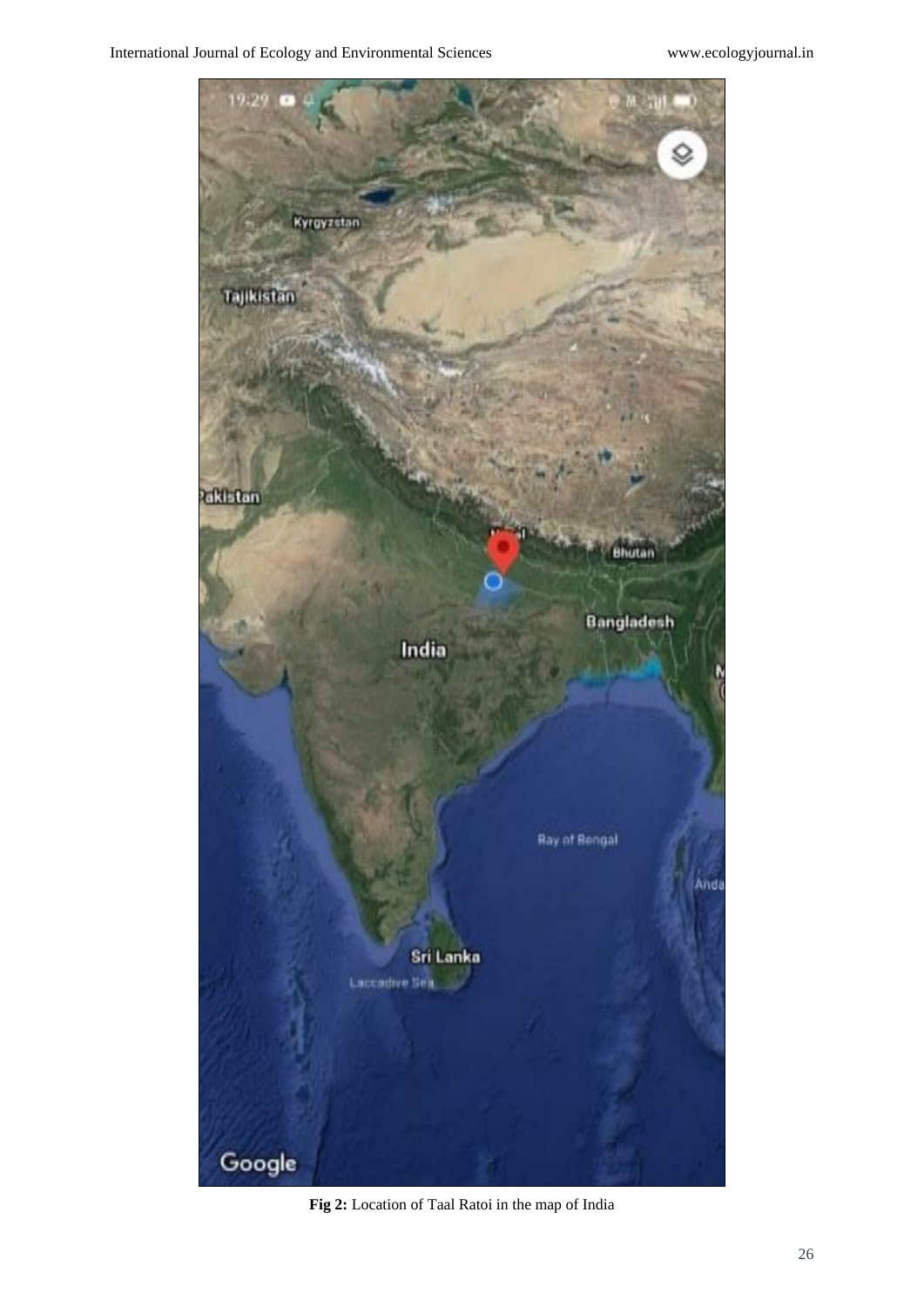

**Fig 2:** Location of Taal Ratoi in the map of India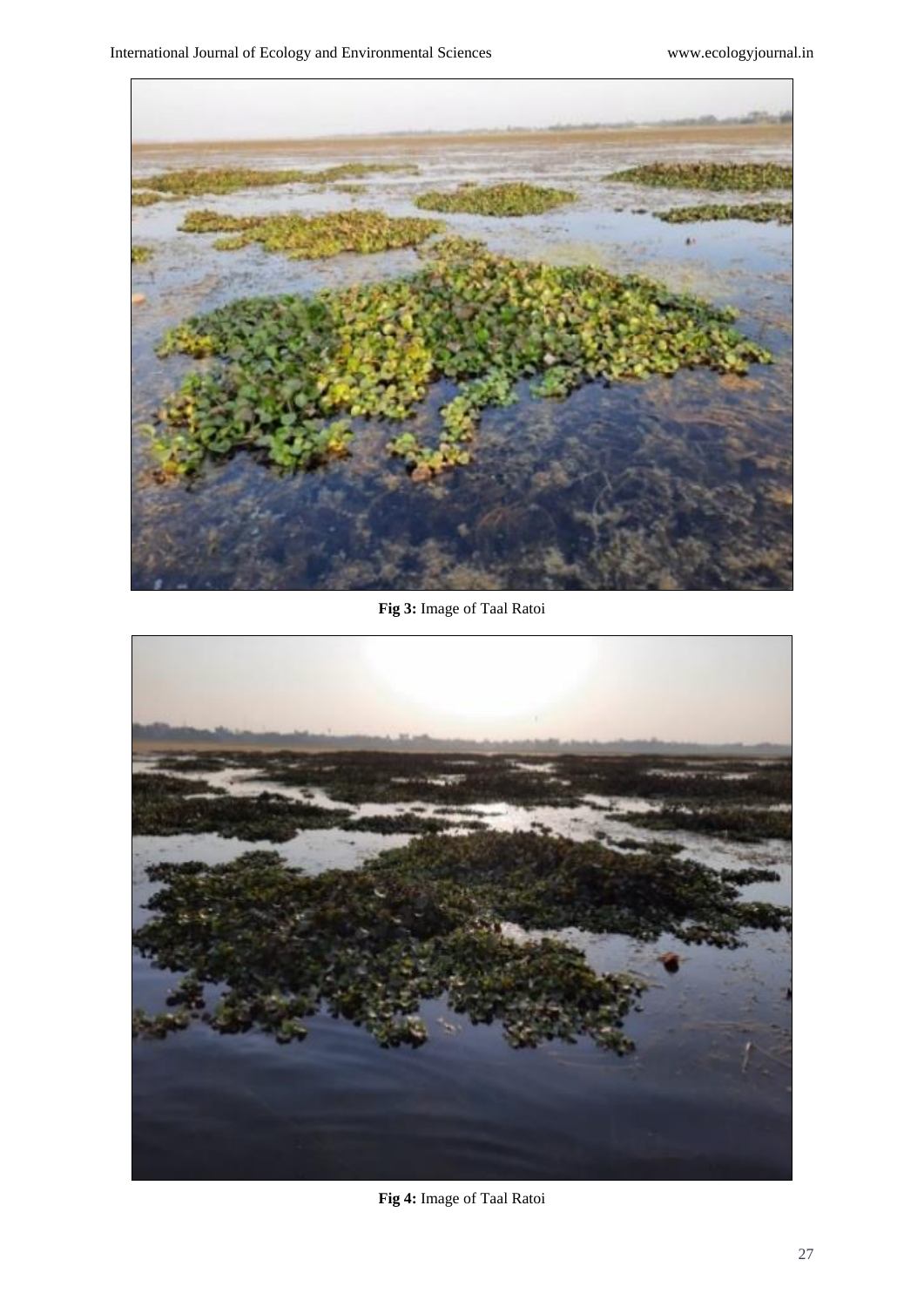

**Fig 3:** Image of Taal Ratoi



**Fig 4:** Image of Taal Ratoi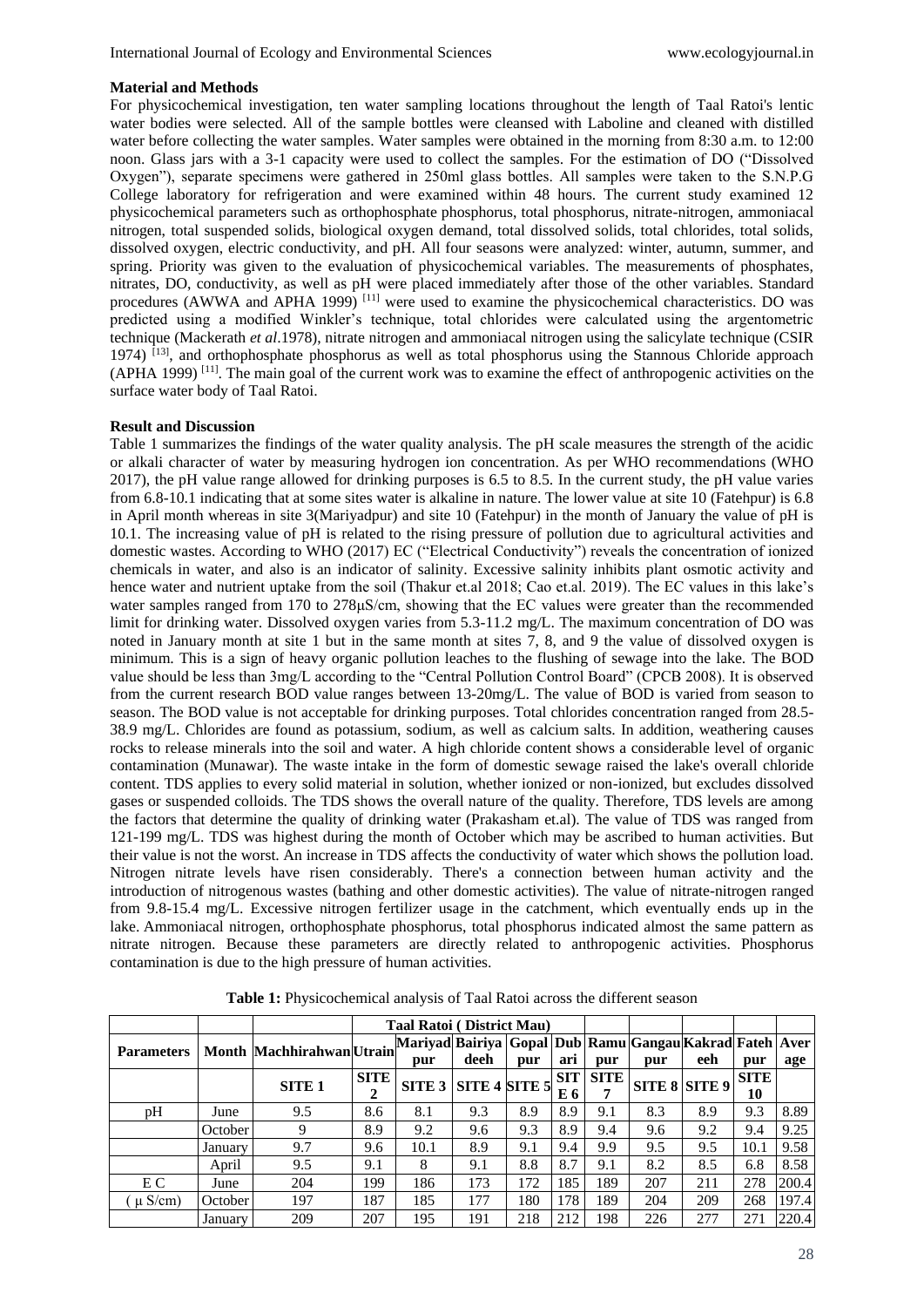#### **Material and Methods**

For physicochemical investigation, ten water sampling locations throughout the length of Taal Ratoi's lentic water bodies were selected. All of the sample bottles were cleansed with Laboline and cleaned with distilled water before collecting the water samples. Water samples were obtained in the morning from 8:30 a.m. to 12:00 noon. Glass jars with a 3-1 capacity were used to collect the samples. For the estimation of DO ("Dissolved Oxygen"), separate specimens were gathered in 250ml glass bottles. All samples were taken to the S.N.P.G College laboratory for refrigeration and were examined within 48 hours. The current study examined 12 physicochemical parameters such as orthophosphate phosphorus, total phosphorus, nitrate-nitrogen, ammoniacal nitrogen, total suspended solids, biological oxygen demand, total dissolved solids, total chlorides, total solids, dissolved oxygen, electric conductivity, and pH. All four seasons were analyzed: winter, autumn, summer, and spring. Priority was given to the evaluation of physicochemical variables. The measurements of phosphates, nitrates, DO, conductivity, as well as pH were placed immediately after those of the other variables. Standard procedures (AWWA and APHA 1999)<sup>[11]</sup> were used to examine the physicochemical characteristics. DO was predicted using a modified Winkler's technique, total chlorides were calculated using the argentometric technique (Mackerath *et al*.1978), nitrate nitrogen and ammoniacal nitrogen using the salicylate technique (CSIR 1974) [13], and orthophosphate phosphorus as well as total phosphorus using the Stannous Chloride approach (APHA 1999) [11]. The main goal of the current work was to examine the effect of anthropogenic activities on the surface water body of Taal Ratoi.

# **Result and Discussion**

Table 1 summarizes the findings of the water quality analysis. The pH scale measures the strength of the acidic or alkali character of water by measuring hydrogen ion concentration. As per WHO recommendations (WHO 2017), the pH value range allowed for drinking purposes is 6.5 to 8.5. In the current study, the pH value varies from 6.8-10.1 indicating that at some sites water is alkaline in nature. The lower value at site 10 (Fatehpur) is 6.8 in April month whereas in site 3(Mariyadpur) and site 10 (Fatehpur) in the month of January the value of pH is 10.1. The increasing value of pH is related to the rising pressure of pollution due to agricultural activities and domestic wastes. According to WHO (2017) EC ("Electrical Conductivity") reveals the concentration of ionized chemicals in water, and also is an indicator of salinity. Excessive salinity inhibits plant osmotic activity and hence water and nutrient uptake from the soil (Thakur et.al 2018; Cao et.al. 2019). The EC values in this lake's water samples ranged from 170 to 278 $\mu$ S/cm, showing that the EC values were greater than the recommended limit for drinking water. Dissolved oxygen varies from 5.3-11.2 mg/L. The maximum concentration of DO was noted in January month at site 1 but in the same month at sites 7, 8, and 9 the value of dissolved oxygen is minimum. This is a sign of heavy organic pollution leaches to the flushing of sewage into the lake. The BOD value should be less than 3mg/L according to the "Central Pollution Control Board" (CPCB 2008). It is observed from the current research BOD value ranges between 13-20mg/L. The value of BOD is varied from season to season. The BOD value is not acceptable for drinking purposes. Total chlorides concentration ranged from 28.5- 38.9 mg/L. Chlorides are found as potassium, sodium, as well as calcium salts. In addition, weathering causes rocks to release minerals into the soil and water. A high chloride content shows a considerable level of organic contamination (Munawar). The waste intake in the form of domestic sewage raised the lake's overall chloride content. TDS applies to every solid material in solution, whether ionized or non-ionized, but excludes dissolved gases or suspended colloids. The TDS shows the overall nature of the quality. Therefore, TDS levels are among the factors that determine the quality of drinking water (Prakasham et.al). The value of TDS was ranged from 121-199 mg/L. TDS was highest during the month of October which may be ascribed to human activities. But their value is not the worst. An increase in TDS affects the conductivity of water which shows the pollution load. Nitrogen nitrate levels have risen considerably. There's a connection between human activity and the introduction of nitrogenous wastes (bathing and other domestic activities). The value of nitrate-nitrogen ranged from 9.8-15.4 mg/L. Excessive nitrogen fertilizer usage in the catchment, which eventually ends up in the lake. Ammoniacal nitrogen, orthophosphate phosphorus, total phosphorus indicated almost the same pattern as nitrate nitrogen. Because these parameters are directly related to anthropogenic activities. Phosphorus contamination is due to the high pressure of human activities.

|                   |         |                          | Taal Ratoi (District Mau) |                                                                            |               |     |                   |             |     |               |            |       |
|-------------------|---------|--------------------------|---------------------------|----------------------------------------------------------------------------|---------------|-----|-------------------|-------------|-----|---------------|------------|-------|
| <b>Parameters</b> |         | Month MachhirahwanUtrain |                           | Mariyad Bairiya   Gopal   Dub   Ramu   Gangau Kakrad Fateh   Aver  <br>pur | deeh          | pur | ari               | pur         | pur | eeh           | pur        | age   |
|                   |         | <b>SITE 1</b>            | <b>SITE</b><br>2          | SITE <sub>3</sub>                                                          | SITE 4 SITE 5 |     | <b>SIT</b><br>E 6 | <b>SITE</b> |     | SITE 8 SITE 9 | SITE<br>10 |       |
| pH                | June    | 9.5                      | 8.6                       | 8.1                                                                        | 9.3           | 8.9 | 8.9               | 9.1         | 8.3 | 8.9           | 9.3        | 8.89  |
|                   | October | 9                        | 8.9                       | 9.2                                                                        | 9.6           | 9.3 | 8.9               | 9.4         | 9.6 | 9.2           | 9.4        | 9.25  |
|                   | Januarv | 9.7                      | 9.6                       | 10.1                                                                       | 8.9           | 9.1 | 9.4               | 9.9         | 9.5 | 9.5           | 10.1       | 9.58  |
|                   | April   | 9.5                      | 9.1                       | 8                                                                          | 9.1           | 8.8 | 8.7               | 9.1         | 8.2 | 8.5           | 6.8        | 8.58  |
| E C               | June    | 204                      | 199                       | 186                                                                        | 173           | 172 | 185               | 189         | 207 | 211           | 278        | 200.4 |
| $\mu$ S/cm)       | October | 197                      | 187                       | 185                                                                        | 177           | 180 | 178               | 189         | 204 | 209           | 268        | 197.4 |
|                   | January | 209                      | 207                       | 195                                                                        | 191           | 218 | 212               | 198         | 226 | 277           | 271        | 220.4 |

**Table 1:** Physicochemical analysis of Taal Ratoi across the different season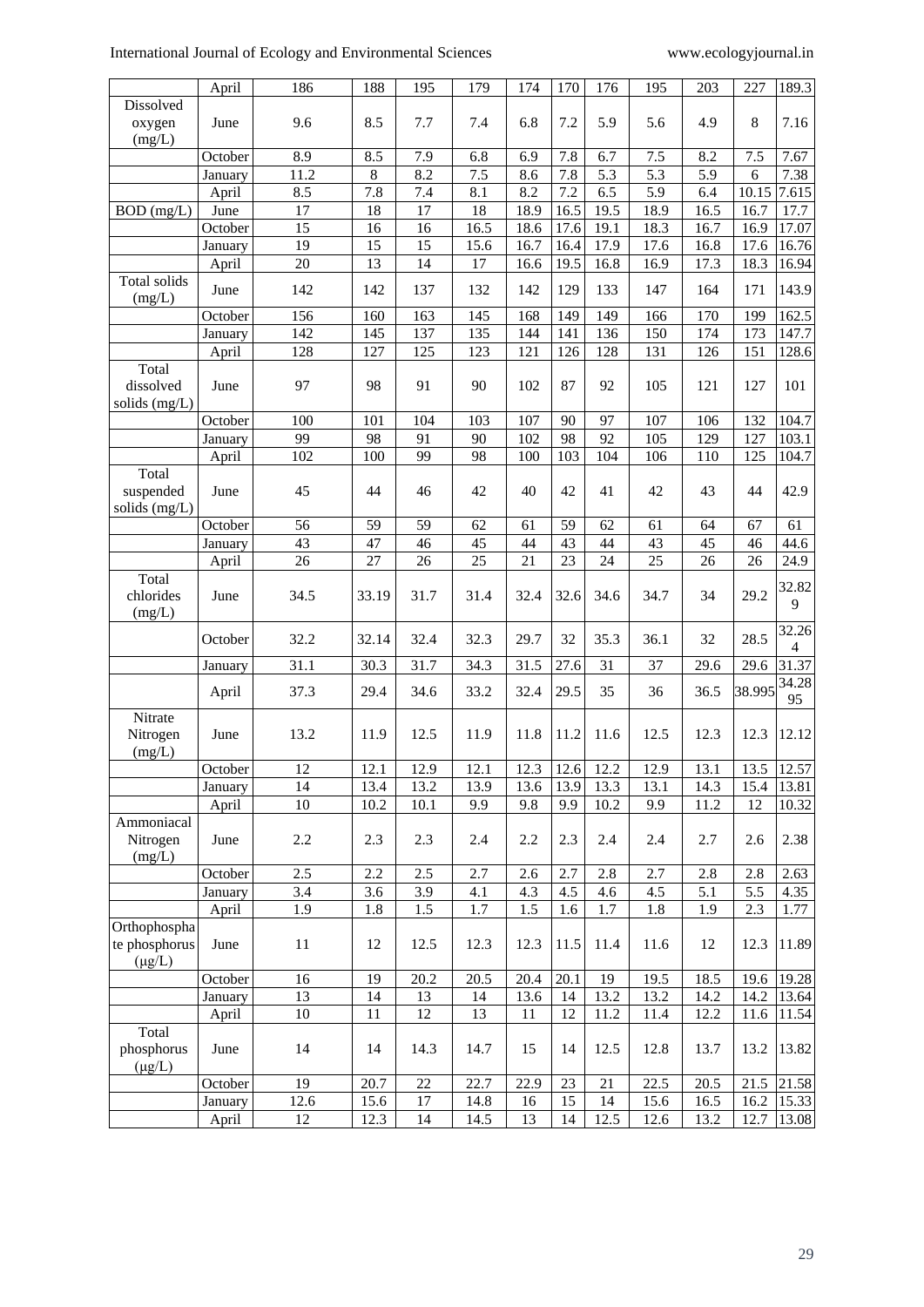|                                              | April                 | 186             | 188   | 195  | 179             | 174  | 170  | 176  | 195  | 203  | 227    | 189.3                             |
|----------------------------------------------|-----------------------|-----------------|-------|------|-----------------|------|------|------|------|------|--------|-----------------------------------|
| Dissolved<br>oxygen                          | June                  | 9.6             | 8.5   | 7.7  | 7.4             | 6.8  | 7.2  | 5.9  | 5.6  | 4.9  | 8      | 7.16                              |
| (mg/L)                                       |                       |                 |       |      |                 |      |      |      |      |      |        |                                   |
|                                              | October               | 8.9             | 8.5   | 7.9  | 6.8             | 6.9  | 7.8  | 6.7  | 7.5  | 8.2  | 7.5    | 7.67                              |
|                                              | January               | 11.2            | 8     | 8.2  | 7.5             | 8.6  | 7.8  | 5.3  | 5.3  | 5.9  | 6      | 7.38                              |
|                                              | April                 | 8.5             | 7.8   | 7.4  | 8.1             | 8.2  | 7.2  | 6.5  | 5.9  | 6.4  | 10.15  | 7.615                             |
| $BOD$ (mg/L)                                 | June                  | 17              | 18    | 17   | 18              | 18.9 | 16.5 | 19.5 | 18.9 | 16.5 | 16.7   | 17.7                              |
|                                              | $\overline{O}$ ctober | 15              | 16    | 16   | 16.5            | 18.6 | 17.6 | 19.1 | 18.3 | 16.7 | 16.9   | 17.07                             |
|                                              | January               | 19              | 15    | 15   | 15.6            | 16.7 | 16.4 | 17.9 | 17.6 | 16.8 | 17.6   | 16.76                             |
|                                              | April                 | $\overline{20}$ | 13    | 14   | 17              | 16.6 | 19.5 | 16.8 | 16.9 | 17.3 | 18.3   | 16.94                             |
| <b>Total solids</b>                          |                       |                 |       |      |                 |      |      |      |      |      |        |                                   |
| (mg/L)                                       | June                  | 142             | 142   | 137  | 132             | 142  | 129  | 133  | 147  | 164  | 171    | 143.9                             |
|                                              | October               | 156             | 160   | 163  | 145             | 168  | 149  | 149  | 166  | 170  | 199    | 162.5                             |
|                                              | January               | 142             | 145   | 137  | 135             | 144  | 141  | 136  | 150  | 174  | 173    | 147.7                             |
|                                              | April                 | 128             | 127   | 125  | 123             | 121  | 126  | 128  | 131  | 126  | 151    | 128.6                             |
| Total<br>dissolved<br>solids (mg/L)          | June                  | 97              | 98    | 91   | 90              | 102  | 87   | 92   | 105  | 121  | 127    | 101                               |
|                                              | October               | 100             | 101   | 104  | 103             | 107  | 90   | 97   | 107  | 106  | 132    | 104.7                             |
|                                              | January               | 99              | 98    | 91   | 90              | 102  | 98   | 92   | 105  | 129  | 127    | 103.1                             |
|                                              | April                 | 102             | 100   | 99   | 98              | 100  | 103  | 104  | 106  | 110  | 125    | 104.7                             |
|                                              |                       |                 |       |      |                 |      |      |      |      |      |        |                                   |
| Total<br>suspended<br>solids (mg/L)          | June                  | 45              | 44    | 46   | 42              | 40   | 42   | 41   | 42   | 43   | 44     | 42.9                              |
|                                              | October               | 56              | 59    | 59   | 62              | 61   | 59   | 62   | 61   | 64   | 67     | 61                                |
|                                              | January               | 43              | 47    | 46   | 45              | 44   | 43   | 44   | 43   | 45   | 46     | 44.6                              |
|                                              | April                 | 26              | 27    | 26   | $\overline{25}$ | 21   | 23   | 24   | 25   | 26   | 26     | 24.9                              |
| Total<br>chlorides<br>(mg/L)                 | June                  | 34.5            | 33.19 | 31.7 | 31.4            | 32.4 | 32.6 | 34.6 | 34.7 | 34   | 29.2   | 32.82<br>9                        |
|                                              | October               | 32.2            | 32.14 | 32.4 | 32.3            | 29.7 | 32   | 35.3 | 36.1 | 32   | 28.5   | 32.26<br>$\overline{\mathcal{L}}$ |
|                                              | January               | 31.1            | 30.3  | 31.7 | 34.3            | 31.5 | 27.6 | 31   | 37   | 29.6 | 29.6   | 31.37                             |
|                                              | April                 | 37.3            | 29.4  | 34.6 | 33.2            | 32.4 | 29.5 | 35   | 36   | 36.5 | 38.995 | 34.28<br>95                       |
| Nitrate<br>Nitrogen<br>(mg/L)                | June                  | 13.2            | 11.9  | 12.5 | 11.9            | 11.8 | 11.2 | 11.6 | 12.5 | 12.3 | 12.3   | 12.12                             |
|                                              | October               | 12              | 12.1  | 12.9 | 12.1            | 12.3 | 12.6 | 12.2 | 12.9 | 13.1 | 13.5   | 12.57                             |
|                                              | January               | 14              | 13.4  | 13.2 | 13.9            | 13.6 | 13.9 | 13.3 | 13.1 | 14.3 | 15.4   | 13.81                             |
|                                              | April                 | 10              | 10.2  | 10.1 | 9.9             | 9.8  | 9.9  | 10.2 | 9.9  | 11.2 | 12     | 10.32                             |
| Ammoniacal<br>Nitrogen<br>(mg/L)             | June                  | 2.2             | 2.3   | 2.3  | 2.4             | 2.2  | 2.3  | 2.4  | 2.4  | 2.7  | 2.6    | 2.38                              |
|                                              | October               | 2.5             | 2.2   | 2.5  | 2.7             | 2.6  | 2.7  | 2.8  | 2.7  | 2.8  | 2.8    | 2.63                              |
|                                              | January               | 3.4             | 3.6   | 3.9  | 4.1             | 4.3  | 4.5  | 4.6  | 4.5  | 5.1  | 5.5    | 4.35                              |
|                                              | April                 | 1.9             | 1.8   | 1.5  | 1.7             | 1.5  | 1.6  | 1.7  | 1.8  | 1.9  | 2.3    | 1.77                              |
| Orthophospha<br>te phosphorus<br>$(\mu g/L)$ | June                  | 11              | 12    | 12.5 | 12.3            | 12.3 | 11.5 | 11.4 | 11.6 | 12   | 12.3   | 11.89                             |
|                                              | October               | 16              | 19    | 20.2 | 20.5            | 20.4 | 20.1 | 19   | 19.5 | 18.5 | 19.6   | 19.28                             |
|                                              | January               | 13              | 14    | 13   | 14              | 13.6 | 14   | 13.2 | 13.2 | 14.2 | 14.2   | 13.64                             |
|                                              | April                 | 10              | 11    | 12   | 13              | 11   | 12   | 11.2 | 11.4 | 12.2 | 11.6   | 11.54                             |
| Total<br>phosphorus<br>$(\mu g/L)$           | June                  | 14              | 14    | 14.3 | 14.7            | 15   | 14   | 12.5 | 12.8 | 13.7 | 13.2   | 13.82                             |
|                                              | October               | 19              | 20.7  | 22   | 22.7            | 22.9 | 23   | 21   | 22.5 | 20.5 | 21.5   | 21.58                             |
|                                              | January               | 12.6            | 15.6  | 17   | 14.8            | 16   | 15   | 14   | 15.6 | 16.5 | 16.2   | 15.33                             |
|                                              | April                 | 12              | 12.3  | 14   | 14.5            | 13   | 14   | 12.5 | 12.6 | 13.2 | 12.7   | 13.08                             |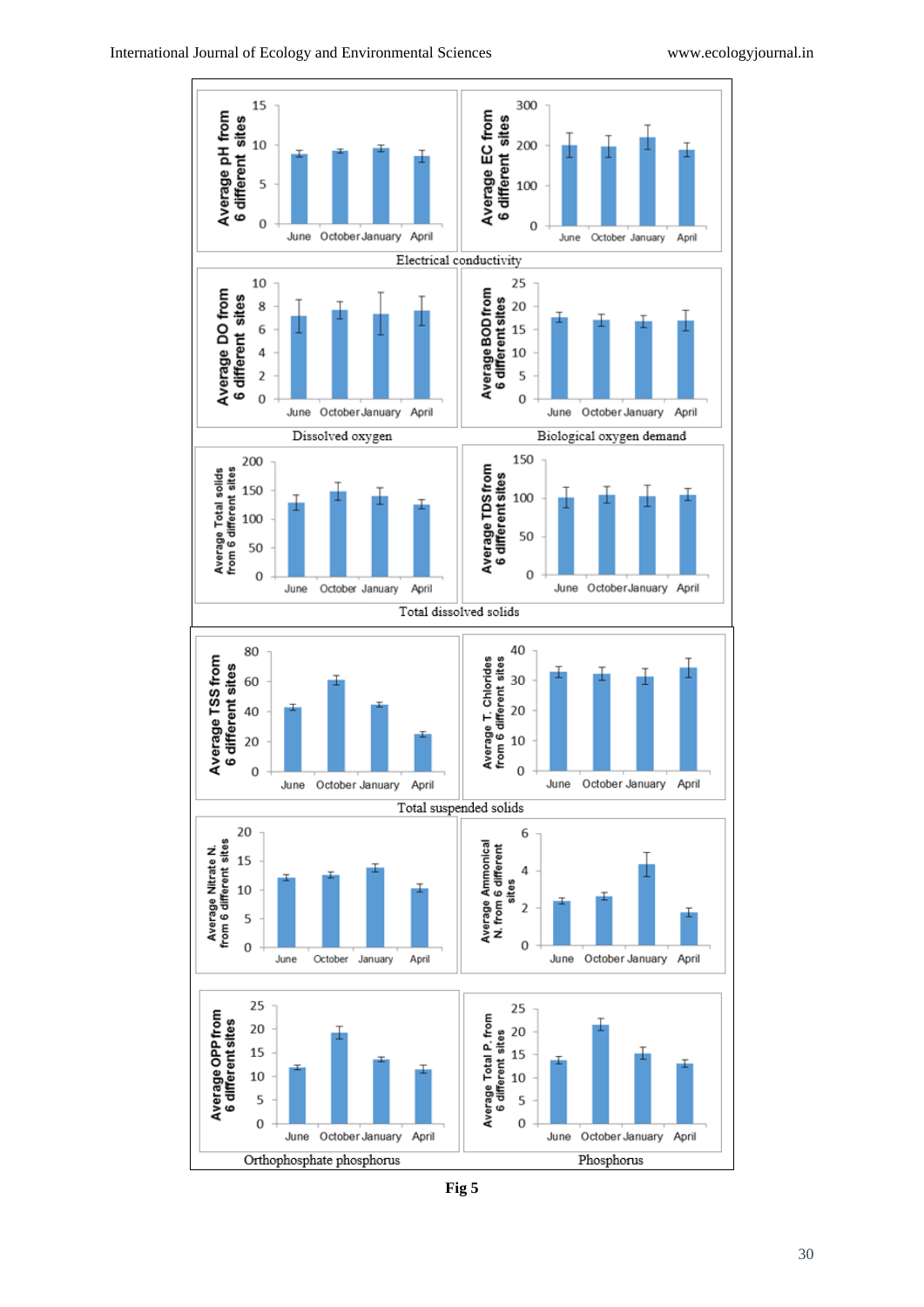

**Fig 5**